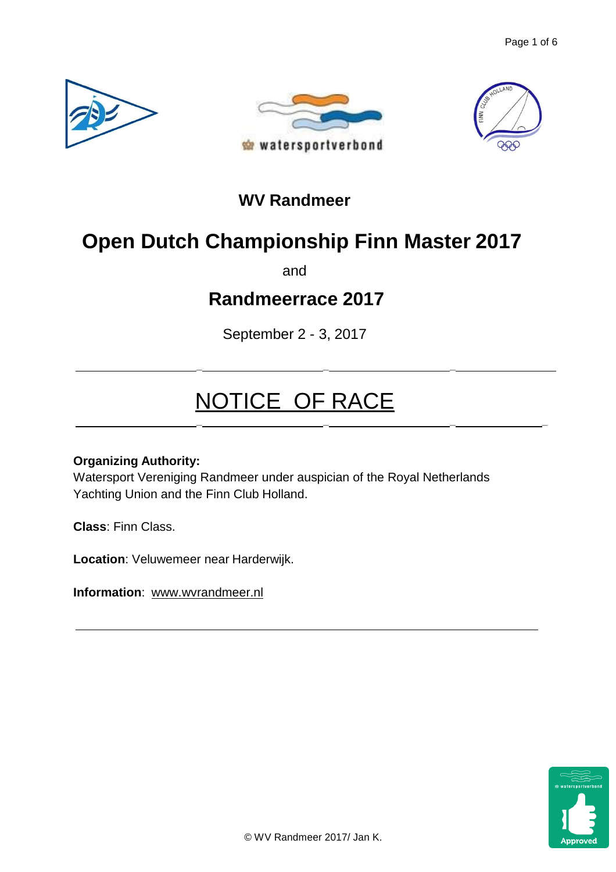





## **WV Randmeer**

# **Open Dutch Championship Finn Master 2017**

and

# **Randmeerrace 2017**

September 2 - 3, 2017

**\_ \_ \_**

**\_ \_ \_ \_**

# NOTICE OF RACE

## **Organizing Authority:**

Watersport Vereniging Randmeer under auspician of the Royal Netherlands Yachting Union and the Finn Club Holland.

**Class**: Finn Class.

**Location**: Veluwemeer near Harderwijk.

**Information**: [www.wvrandmeer.nl](http://www.wvrandmeer.nl/)

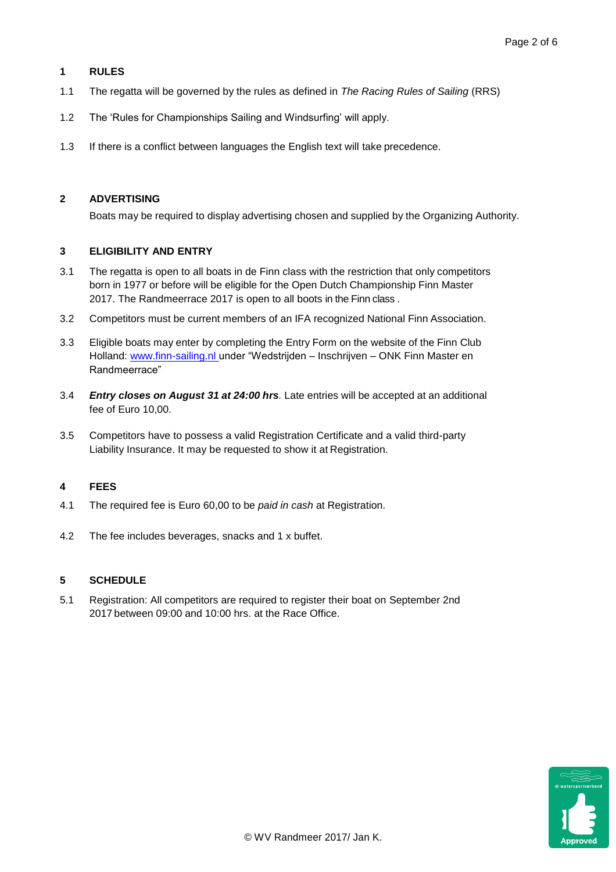#### **1 RULES**

- 1.1 The regatta will be governed by the rules as defined in *The Racing Rules of Sailing* (RRS)
- 1.2 The 'Rules for Championships Sailing and Windsurfing' will apply.
- 1.3 If there is a conflict between languages the English text will take precedence.

#### **2 ADVERTISING**

Boats may be required to display advertising chosen and supplied by the Organizing Authority.

#### **3 ELIGIBILITY AND ENTRY**

- 3.1 The regatta is open to all boats in de Finn class with the restriction that only competitors born in 1977 or before will be eligible for the Open Dutch Championship Finn Master 2017. The Randmeerrace 2017 is open to all boots in the Finn class .
- 3.2 Competitors must be current members of an IFA recognized National Finn Association.
- 3.3 Eligible boats may enter by completing the Entry Form on the website of the Finn Club Holland: www.finn-sailing.nl under "Wedstrijden – Inschrijven – ONK Finn Master en Randmeerrace"
- 3.4 *Entry closes on August 31 at 24:00 hrs.* Late entries will be accepted at an additional fee of Euro 10,00.
- 3.5 Competitors have to possess a valid Registration Certificate and a valid third-party Liability Insurance. It may be requested to show it at Registration.

#### **4 FEES**

- 4.1 The required fee is Euro 60,00 to be *paid in cash* at Registration.
- 4.2 The fee includes beverages, snacks and 1 x buffet.

#### **5 SCHEDULE**

5.1 Registration: All competitors are required to register their boat on September 2nd 2017 between 09:00 and 10:00 hrs. at the Race Office.

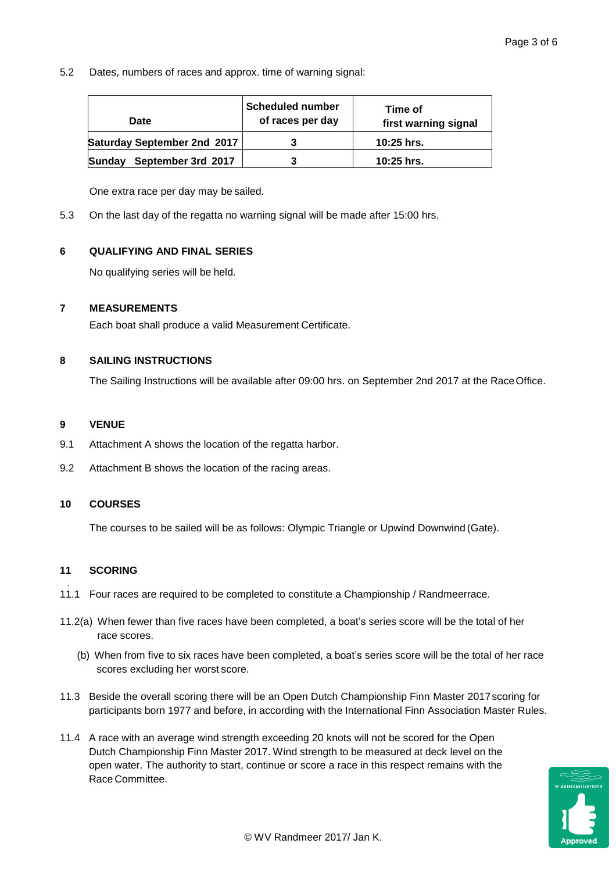5.2 Dates, numbers of races and approx. time of warning signal:

| Date                                | <b>Scheduled number</b><br>of races per day | Time of<br>first warning signal |
|-------------------------------------|---------------------------------------------|---------------------------------|
| Saturday September 2nd 2017         |                                             | $10:25$ hrs.                    |
| September 3rd 2017<br><b>Sundav</b> |                                             | 10:25 hrs.                      |

One extra race per day may be sailed.

5.3 On the last day of the regatta no warning signal will be made after 15:00 hrs.

#### **6 QUALIFYING AND FINAL SERIES**

No qualifying series will be held.

#### **7 MEASUREMENTS**

Each boat shall produce a valid Measurement Certificate.

#### **8 SAILING INSTRUCTIONS**

The Sailing Instructions will be available after 09:00 hrs. on September 2nd 2017 at the RaceOffice.

#### **9 VENUE**

- 9.1 Attachment A shows the location of the regatta harbor.
- 9.2 Attachment B shows the location of the racing areas.

#### **10 COURSES**

The courses to be sailed will be as follows: Olympic Triangle or Upwind Downwind (Gate).

#### **11 SCORING**

- . 11.1 Four races are required to be completed to constitute a Championship / Randmeerrace.
- 11.2(a) When fewer than five races have been completed, a boat's series score will be the total of her race scores.
	- (b) When from five to six races have been completed, a boat's series score will be the total of her race scores excluding her worst score.
- 11.3 Beside the overall scoring there will be an Open Dutch Championship Finn Master 2017scoring for participants born 1977 and before, in according with the International Finn Association Master Rules.
- 11.4 A race with an average wind strength exceeding 20 knots will not be scored for the Open Dutch Championship Finn Master 2017. Wind strength to be measured at deck level on the open water. The authority to start, continue or score a race in this respect remains with the Race Committee.

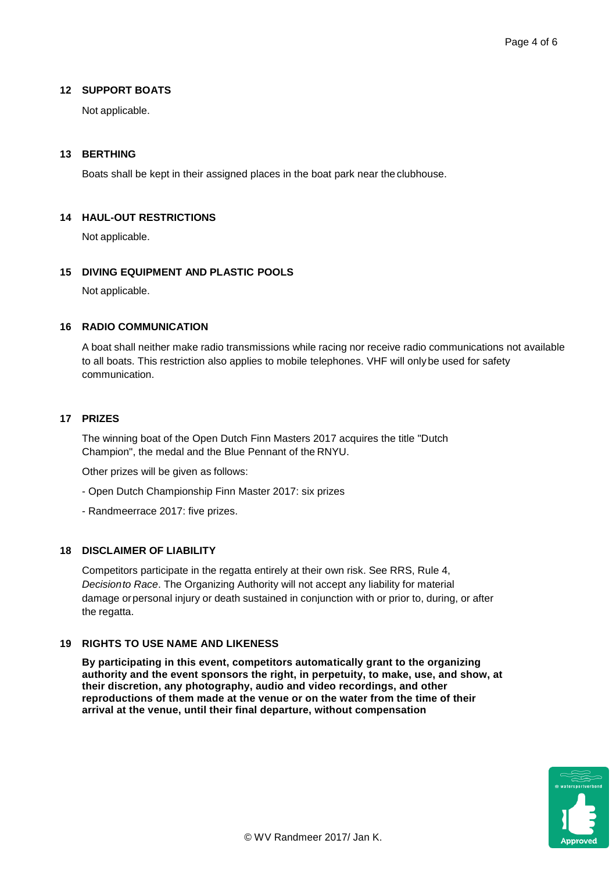#### **12 SUPPORT BOATS**

Not applicable.

#### **13 BERTHING**

Boats shall be kept in their assigned places in the boat park near the clubhouse.

#### **14 HAUL-OUT RESTRICTIONS**

Not applicable.

#### **15 DIVING EQUIPMENT AND PLASTIC POOLS**

Not applicable.

#### **16 RADIO COMMUNICATION**

A boat shall neither make radio transmissions while racing nor receive radio communications not available to all boats. This restriction also applies to mobile telephones. VHF will onlybe used for safety communication.

#### **17 PRIZES**

The winning boat of the Open Dutch Finn Masters 2017 acquires the title "Dutch Champion", the medal and the Blue Pennant of the RNYU.

Other prizes will be given as follows:

- Open Dutch Championship Finn Master 2017: six prizes
- Randmeerrace 2017: five prizes.

#### **18 DISCLAIMER OF LIABILITY**

Competitors participate in the regatta entirely at their own risk. See RRS, Rule 4, *Decisionto Race*. The Organizing Authority will not accept any liability for material damage orpersonal injury or death sustained in conjunction with or prior to, during, or after the regatta.

#### **19 RIGHTS TO USE NAME AND LIKENESS**

**By participating in this event, competitors automatically grant to the organizing authority and the event sponsors the right, in perpetuity, to make, use, and show, at their discretion, any photography, audio and video recordings, and other reproductions of them made at the venue or on the water from the time of their arrival at the venue, until their final departure, without compensation**

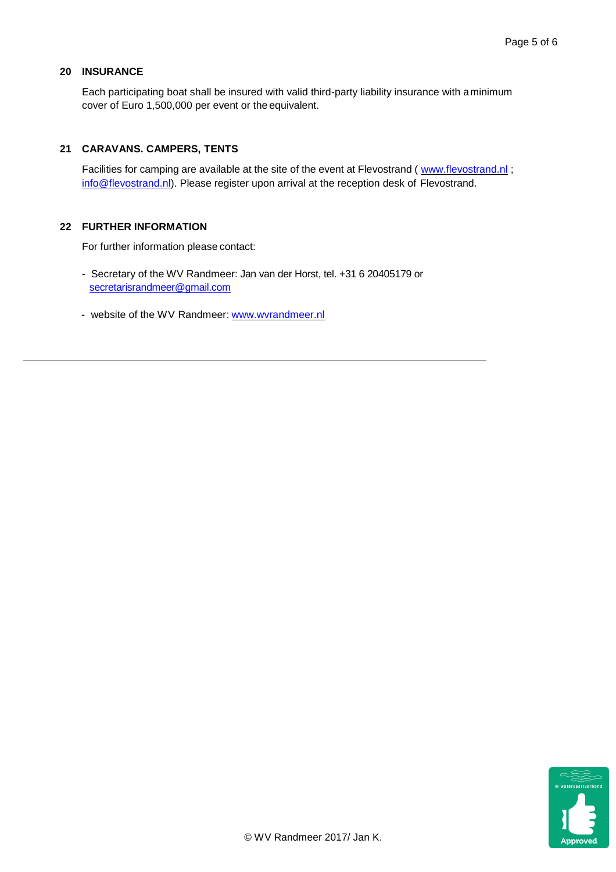#### **20 INSURANCE**

Each participating boat shall be insured with valid third-party liability insurance with aminimum cover of Euro 1,500,000 per event or the equivalent.

#### **21 CARAVANS. CAMPERS, TENTS**

Facilities for camping are available at the site of the event at Flevostrand ( [www.flevostrand.nl](http://www.flevostrand.nl/); info@flevostrand.nl). Please register upon arrival at the reception desk of Flevostrand.

#### **22 FURTHER INFORMATION**

For further information please contact:

- Secretary of the WV Randmeer: Jan van der Horst, tel. +31 6 20405179 or [secretarisrandmeer@gmail.com](file:///C:/Users/G.%20Geelkerken/AppData/Local/Microsoft/Windows/Temporary%20Internet%20Files/Content.Outlook/2D8DJW55/secretarisrandmeer@gmail.com)
- website of the WV Randmeer: [www.wvrandmeer.nl](http://www.wvrandmeer.nl/)